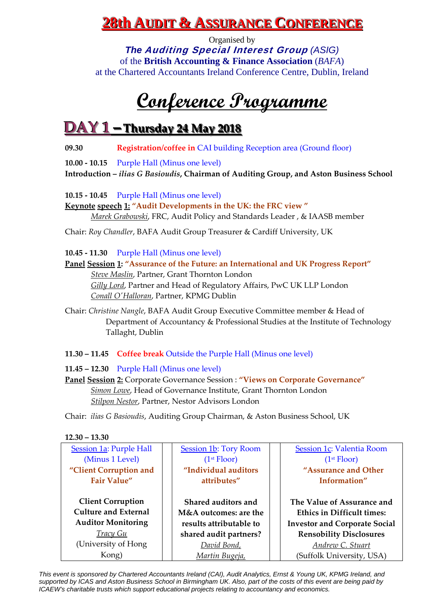### **228th Audit & Assurance Conference**

Organised by *The* **Auditing Special Interest Group** *(ASIG)* of the **British Accounting & Finance Association** (*BAFA*) at the Chartered Accountants Ireland Conference Centre, Dublin, Ireland

## **Conference Programme**

### **DAY 1 – Thursday 24 May 2018**

**09.30 Registration/coffee in** CAI building Reception area (Ground floor)

**10.00 ‐ 10.15**  Purple Hall (Minus one level)

**Introduction –** *ilias G Basioudis***, Chairman of Auditing Group, and Aston Business School**

**10.15 ‐ 10.45**  Purple Hall (Minus one level)

**Keynote speech 1: "Audit Developments in the UK: the FRC view "** *Marek Grabowski*, FRC, Audit Policy and Standards Leader , & IAASB member

Chair: *Roy Chandler*, BAFA Audit Group Treasurer & Cardiff University, UK

**10.45 ‐ 11.30**  Purple Hall (Minus one level)

**Panel Session 1: "Assurance of the Future: an International and UK Progress Report"** *Steve Maslin*, Partner, Grant Thornton London *Gilly Lord*, Partner and Head of Regulatory Affairs, PwC UK LLP London *Conall OʹHalloran*, Partner, KPMG Dublin

Chair: *Christine Nangle*, BAFA Audit Group Executive Committee member & Head of Department of Accountancy & Professional Studies at the Institute of Technology Tallaght, Dublin

**11.30 – 11.45 Coffee break** Outside the Purple Hall (Minus one level)

**11.45 – 12.30** Purple Hall (Minus one level)

**Panel Session 2:** Corporate Governance Session : **"Views on Corporate Governance"** *Simon Lowe*, Head of Governance Institute, Grant Thornton London *Stilpon Nestor*, Partner, Nestor Advisors London

Chair: *ilias G Basioudis*, Auditing Group Chairman, & Aston Business School, UK

| $12.30 - 13.30$ |  |
|-----------------|--|
|-----------------|--|

| <b>Session 1a: Purple Hall</b>                          | <b>Session 1b: Tory Room</b>                 | Session 1c: Valentia Room                                |
|---------------------------------------------------------|----------------------------------------------|----------------------------------------------------------|
| (Minus 1 Level)                                         | (1 <sup>st</sup> Floor)                      | (1 <sup>st</sup> Floor)                                  |
| "Client Corruption and                                  | "Individual auditors                         | "Assurance and Other                                     |
| <b>Fair Value"</b>                                      | attributes"                                  | Information"                                             |
| <b>Client Corruption</b><br><b>Culture and External</b> | Shared auditors and<br>M&A outcomes: are the | The Value of Assurance and<br>Ethics in Difficult times: |
| <b>Auditor Monitoring</b>                               | results attributable to                      | <b>Investor and Corporate Social</b>                     |
| <b>Tracy Gu</b>                                         | shared audit partners?                       | <b>Rensobility Disclosures</b>                           |
| (University of Hong)                                    | David Bond,                                  | Andrew C. Stuart                                         |
| Kong)                                                   | Martin Bugeja,                               | (Suffolk University, USA)                                |
|                                                         |                                              |                                                          |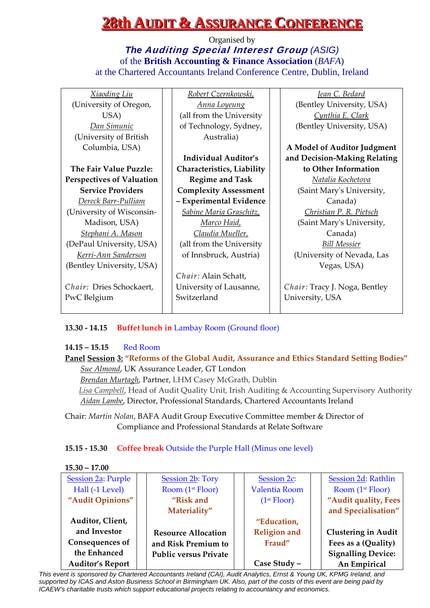## **228th Audit & Assurance Conference**

Organised by *The* **Auditing Special Interest Group** *(ASIG)* of the **British Accounting & Finance Association** (*BAFA*) at the Chartered Accountants Ireland Conference Centre, Dublin, Ireland

| <u>Xiaoding Liu</u>              | Robert Czernkowski,          | Jean C. Bedard                |
|----------------------------------|------------------------------|-------------------------------|
| (University of Oregon,           | <u>Anna Loyeung</u>          | (Bentley University, USA)     |
| USA)                             | (all from the University     | Cynthia E. Clark              |
| Dan Simunic                      | of Technology, Sydney,       | (Bentley University, USA)     |
| (University of British)          | Australia)                   |                               |
| Columbia, USA)                   |                              | A Model of Auditor Judgment   |
|                                  | <b>Individual Auditor's</b>  | and Decision-Making Relating  |
| The Fair Value Puzzle:           | Characteristics, Liability   | to Other Information          |
| <b>Perspectives of Valuation</b> | <b>Regime and Task</b>       | Natalia Kochetova             |
| <b>Service Providers</b>         | <b>Complexity Assessment</b> | (Saint Mary's University,     |
| Dereck Barr-Pulliam              | - Experimental Evidence      | Canada)                       |
| (University of Wisconsin-        | Sabine Maria Graschitz,      | Christian P. R. Pietsch       |
| Madison, USA)                    | <u>Marco Haid,</u>           | (Saint Mary's University,     |
| Stephani A. Mason                | Claudia Mueller,             | Canada)                       |
| (DePaul University, USA)         | (all from the University     | <b>Bill Messier</b>           |
| Kerri-Ann Sanderson              | of Innsbruck, Austria)       | (University of Nevada, Las    |
| (Bentley University, USA)        |                              | Vegas, USA)                   |
|                                  | Chair: Alain Schatt,         |                               |
| Chair: Dries Schockaert,         | University of Lausanne,      | Chair: Tracy J. Noga, Bentley |
| PwC Belgium                      | Switzerland                  | University, USA               |
|                                  |                              |                               |

#### **13.30 ‐ 14.15 Buffet lunch in** Lambay Room (Ground floor)

#### **14.15 – 15.15** Red Room

### **Panel Session 3: "Reforms of the Global Audit, Assurance and Ethics Standard Setting Bodies"** *Sue Almond*, UK Assurance Leader, GT London

*Brendan Murtagh*, Partner, LHM Casey McGrath, Dublin *Lisa Campbell*, Head of Audit Quality Unit, Irish Auditing & Accounting Supervisory Authority *Aidan Lambe*, Director, Professional Standards, Chartered Accountants Ireland

Chair: *Martin Nolan*, BAFA Audit Group Executive Committee member & Director of Compliance and Professional Standards at Relate Software

#### **15.15 ‐ 15.30 Coffee break** Outside the Purple Hall (Minus one level)

**15.30 – 17.00**

| Session 2a: Purple      | <b>Session 2b: Tory</b>      | Session 2c:             | Session 2d: Rathlin        |
|-------------------------|------------------------------|-------------------------|----------------------------|
| Hall (-1 Level)         | Room (1 <sup>st</sup> Floor) | Valentia Room           | Room $(1st Floor)$         |
| "Audit Opinions"        | "Risk and                    | (1 <sup>st</sup> Floor) | "Audit quality, Fees       |
|                         | Materiality"                 |                         | and Specialisation"        |
| Auditor, Client,        |                              | "Education,             |                            |
| and Investor            | <b>Resource Allocation</b>   | <b>Religion</b> and     | <b>Clustering in Audit</b> |
| Consequences of         | and Risk Premium to          | Fraud"                  | Fees as a (Quality)        |
| the Enhanced            | <b>Public versus Private</b> |                         | <b>Signalling Device:</b>  |
| <b>Auditor's Report</b> |                              | Case Study -            | An Empirical               |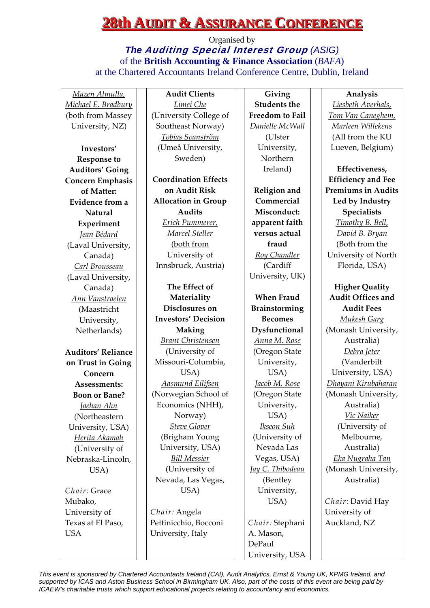### **28th AUDIT & ASSURANCE CONFERENCE**

Organised by *The* **Auditing Special Interest Group** *(ASIG)* of the **British Accounting & Finance Association** (*BAFA*) at the Chartered Accountants Ireland Conference Centre, Dublin, Ireland

*Mazen Almulla, Michael E. Bradbury* (both from Massey University, NZ)

**Investors' Response to Auditors' Going Concern Emphasis of Matter: Evidence from a Natural Experiment** *Jean Bédard* (Laval University, Canada) *Carl Brousseau* (Laval University, Canada) *Ann Vanstraelen* (Maastricht University, Netherlands) **Auditors' Reliance on Trust in Going Concern Assessments: Boon or Bane?** *Jaehan Ahn* (Northeastern University, USA) *Herita Akamah* (University of Nebraska‐Lincoln, USA)

*Chair:* Grace Mubako, University of Texas at El Paso, **USA** 

**Audit Clients** *Limei Che* (University College of Southeast Norway) *Tobias Svanström* (Umeå University, Sweden)

**Coordination Effects on Audit Risk Allocation in Group Audits** *Erich Pummerer, Marcel Steller* (both from University of Innsbruck, Austria)

**The Effect of Materiality Disclosures on Investors' Decision Making** *Brant Christensen* (University of Missouri‐Columbia, USA) *Aasmund Eilifsen* (Norwegian School of Economics (NHH), Norway) *Steve Glover* (Brigham Young University, USA) *Bill Messier* (University of Nevada, Las Vegas, USA)

*Chair:* Angela Pettinicchio, Bocconi University, Italy

**Giving Students the Freedom to Fail**  *Danielle McWall* (Ulster University, Northern Ireland)

**Religion and Commercial Misconduct: apparent faith versus actual fraud** *Roy Chandler* (Cardiff University, UK)

**When Fraud Brainstorming Becomes Dysfunctional** *Anna M. Rose* (Oregon State University, USA) *Jacob M. Rose* (Oregon State University, USA) *Ikseon Suh* (University of Nevada Las Vegas, USA) *Jay C. Thibodeau* (Bentley University, USA)

*Chair:* Stephani A. Mason, DePaul University, USA

#### **Analysis**

*Liesbeth Averhals, Tom Van Caneghem, Marleen Willekens* (All from the KU Lueven, Belgium)

**Effectiveness, Efficiency and Fee Premiums in Audits Led by Industry Specialists** *Timothy B. Bell, David B. Bryan* (Both from the University of North Florida, USA)

**Higher Quality Audit Offices and Audit Fees** *Mukesh Garg*  (Monash University, Australia) *Debra Jeter* (Vanderbilt University, USA) *Dhayani Kirubaharan* (Monash University, Australia) *Vic Naiker* (University of Melbourne, Australia) *Eka Nugraha Tan* (Monash University, Australia)

*Chair:* David Hay University of Auckland, NZ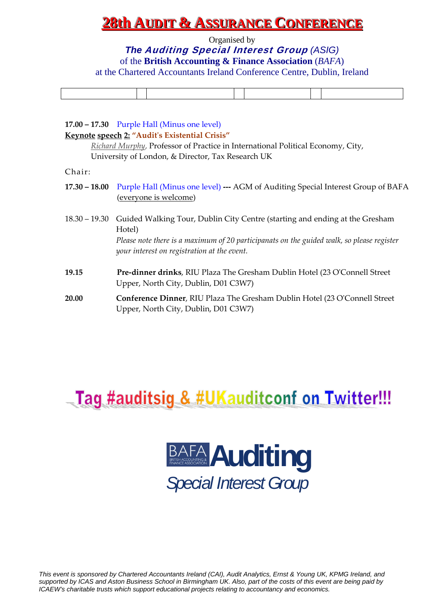### <u>28th Audit & Assurance Conference</u>

Organised by

*The* **Auditing Special Interest Group** *(ASIG)*

of the **British Accounting & Finance Association** (*BAFA*)

at the Chartered Accountants Ireland Conference Centre, Dublin, Ireland

#### **17.00 – 17.30** Purple Hall (Minus one level)

#### **Keynote speech 2: "Auditʹs Existential Crisis"**

*Richard Murphy*, Professor of Practice in International Political Economy, City, University of London, & Director, Tax Research UK

| nair |  |
|------|--|
|      |  |

- **17.30 – 18.00**  Purple Hall (Minus one level) **‐‐‐** AGM of Auditing Special Interest Group of BAFA (everyone is welcome)
- 18.30 19.30 Guided Walking Tour, Dublin City Centre (starting and ending at the Gresham Hotel) *Please note there is a maximum of 20 participanats on the guided walk, so please register your interest on registration at the event.*
- **19.15 Pre‐dinner drinks**, RIU Plaza The Gresham Dublin Hotel (23 OʹConnell Street Upper, North City, Dublin, D01 C3W7)
- **20.00 Conference Dinner**, RIU Plaza The Gresham Dublin Hotel (23 OʹConnell Street Upper, North City, Dublin, D01 C3W7)

## Tag #auditsig & #UKauditconf on Twitter!!!

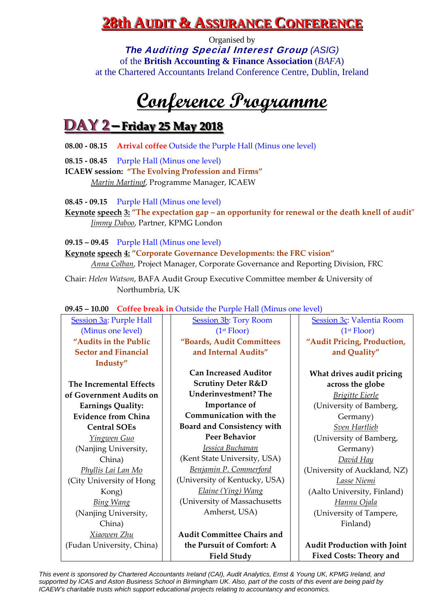### <u>28th Audit & Assurance Conference</u>

Organised by *The* **Auditing Special Interest Group** *(ASIG)* of the **British Accounting & Finance Association** (*BAFA*) at the Chartered Accountants Ireland Conference Centre, Dublin, Ireland

# **Conference Programme**

## **DAY 2–Friday 25 May 2018**

**08.00 ‐ 08.15 Arrival coffee** Outside the Purple Hall (Minus one level)

**08.15 ‐ 08.45**  Purple Hall (Minus one level)

**ICAEW session: "The Evolving Profession and Firms"**

*Martin Martinof*, Programme Manager, ICAEW

**08.45 ‐ 09.15**  Purple Hall (Minus one level)

**Keynote speech** 3: "The expectation gap – an opportunity for renewal or the death knell of audit" *Jimmy Daboo*, Partner, KPMG London

**09.15 – 09.45**  Purple Hall (Minus one level)

**Keynote speech 4: "Corporate Governance Developments: the FRC vision"** *Anna Colban*, Project Manager, Corporate Governance and Reporting Division, FRC

Chair: *Helen Watson*, BAFA Audit Group Executive Committee member & University of Northumbria, UK

**09.45 – 10.00 Coffee break in** Outside the Purple Hall (Minus one level)

Session 3a: Purple Hall (Minus one level) **"Audits in the Public Sector and Financial Industy" The Incremental Effects of Government Audits on Earnings Quality: Evidence from China Central SOEs** *Yingwen Guo* (Nanjing University, China) *Phyllis Lai Lan Mo* (City University of Hong Kong) *Bing Wang* (Nanjing University, China) *Xiaowen Zhu* (Fudan University, China) Session 3b: Tory Room (1st Floor) **"Boards, Audit Committees and Internal Audits" Can Increased Auditor Scrutiny Deter R&D Underinvestment? The Importance of Communication with the Board and Consistency with Peer Behavior** *Jessica Buchanan* (Kent State University, USA) *Benjamin P. Commerford* (University of Kentucky, USA) *Elaine (Ying) Wang* (University of Massachusetts Amherst, USA) **Audit Committee Chairs and the Pursuit of Comfort: A Field Study** Session 3c: Valentia Room (1st Floor) **"Audit Pricing, Production, and Quality" What drives audit pricing across the globe** *Brigitte Eierle* (University of Bamberg, Germany) *Sven Hartlieb* (University of Bamberg, Germany) *David Hay* (University of Auckland, NZ) *Lasse Niemi*  (Aalto University, Finland) *Hannu Ojala* (University of Tampere, Finland) **Audit Production with Joint Fixed Costs: Theory and**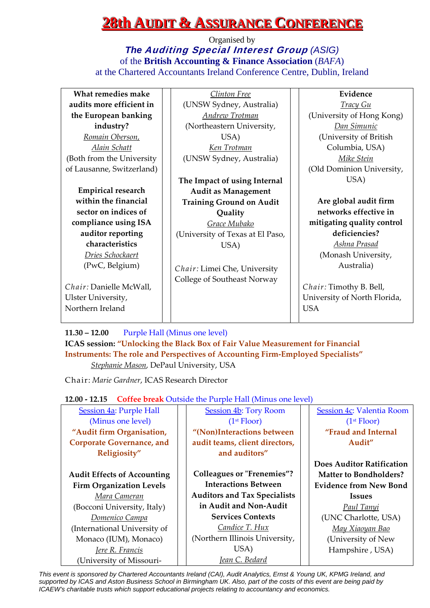### **228th AUDIT & ASSURANCE CONFERENCE**

Organised by *The* **Auditing Special Interest Group** *(ASIG)* of the **British Accounting & Finance Association** (*BAFA*) at the Chartered Accountants Ireland Conference Centre, Dublin, Ireland

| What remedies make        | <u>Clinton Free</u>              | Evidence                     |
|---------------------------|----------------------------------|------------------------------|
| audits more efficient in  | (UNSW Sydney, Australia)         | <b>Tracy Gu</b>              |
| the European banking      | Andrew Trotman                   | (University of Hong Kong)    |
| industry?                 | (Northeastern University,        | Dan Simunic                  |
| Romain Oberson,           | USA)                             | (University of British       |
| Alain Schatt              | <u>Ken Trotman</u>               | Columbia, USA)               |
| (Both from the University | (UNSW Sydney, Australia)         | Mike Stein                   |
| of Lausanne, Switzerland) |                                  | (Old Dominion University,    |
|                           | The Impact of using Internal     | USA)                         |
| <b>Empirical research</b> | <b>Audit as Management</b>       |                              |
| within the financial      | <b>Training Ground on Audit</b>  | Are global audit firm        |
| sector on indices of      | Quality                          | networks effective in        |
| compliance using ISA      | Grace Mubako                     | mitigating quality control   |
| auditor reporting         | (University of Texas at El Paso, | deficiencies?                |
| characteristics           | USA)                             | Ashna Prasad                 |
| Dries Schockaert          |                                  | (Monash University,          |
| (PwC, Belgium)            | Chair: Limei Che, University     | Australia)                   |
|                           | College of Southeast Norway      |                              |
| Chair: Danielle McWall,   |                                  | Chair: Timothy B. Bell,      |
| Ulster University,        |                                  | University of North Florida, |
| Northern Ireland          |                                  | <b>USA</b>                   |
|                           |                                  |                              |

**11.30 – 12.00**  Purple Hall (Minus one level) **ICAS session: "Unlocking the Black Box of Fair Value Measurement for Financial Instruments: The role and Perspectives of Accounting Firm‐Employed Specialists"** *Stephanie Mason*, DePaul University, USA

Chair: *Marie Gardner*, ICAS Research Director

**12.00 ‐ 12.15 Coffee break** Outside the Purple Hall (Minus one level)

| correct retain calorele the range run (minus one rever) |                                     |                                  |  |  |  |
|---------------------------------------------------------|-------------------------------------|----------------------------------|--|--|--|
| <b>Session 4a: Purple Hall</b>                          | <b>Session 4b: Tory Room</b>        | Session 4c: Valentia Room        |  |  |  |
| (Minus one level)                                       | (1 <sup>st</sup> Floor)             | (1 <sup>st</sup> Floor)          |  |  |  |
| "Audit firm Organisation,                               | "(Non)Interactions between          | "Fraud and Internal              |  |  |  |
| <b>Corporate Governance, and</b>                        | audit teams, client directors,      | Audit"                           |  |  |  |
| Religiosity"                                            | and auditors"                       |                                  |  |  |  |
|                                                         |                                     | <b>Does Auditor Ratification</b> |  |  |  |
| <b>Audit Effects of Accounting</b>                      | <b>Colleagues or "Frenemies"?</b>   | <b>Matter to Bondholders?</b>    |  |  |  |
| <b>Firm Organization Levels</b>                         | <b>Interactions Between</b>         | <b>Evidence from New Bond</b>    |  |  |  |
| Mara Cameran                                            | <b>Auditors and Tax Specialists</b> | <b>Issues</b>                    |  |  |  |
| (Bocconi University, Italy)                             | in Audit and Non-Audit              | Paul Tanyi                       |  |  |  |
| Domenico Campa                                          | <b>Services Contexts</b>            | (UNC Charlotte, USA)             |  |  |  |
| (International University of                            | Candice T. Hux                      | May Xiaoyan Bao                  |  |  |  |
| Monaco (IUM), Monaco)                                   | (Northern Illinois University,      | (University of New               |  |  |  |
| Jere R. Francis                                         | USA)                                | Hampshire, USA)                  |  |  |  |
| (University of Missouri-                                | Jean C. Bedard                      |                                  |  |  |  |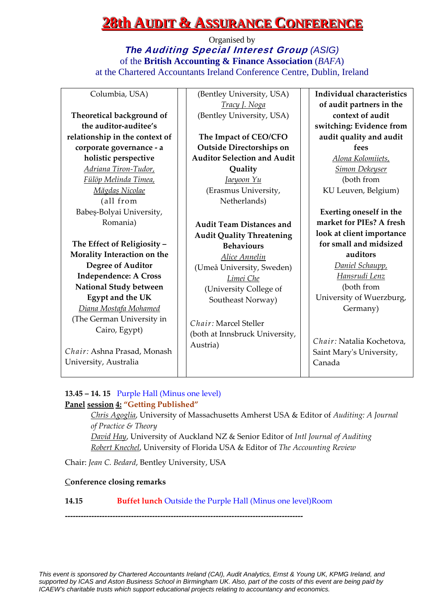### **28th AUDIT & ASSURANCE CONFERENCE**

Organised by *The* **Auditing Special Interest Group** *(ASIG)* of the **British Accounting & Finance Association** (*BAFA*) at the Chartered Accountants Ireland Conference Centre, Dublin, Ireland

Columbia, USA)

**Theoretical background of the auditor‐auditee's relationship in the context of corporate governance ‐ a holistic perspective** *Adriana Tiron‐Tudor, Fülöp Melinda Timea, Măgdaș Nicolae* (all from Babeș‐Bolyai University, Romania)

**The Effect of Religiosity – Morality Interaction on the Degree of Auditor Independence: A Cross National Study between Egypt and the UK** *Diana Mostafa Mohamed* (The German University in Cairo, Egypt)

*Chair:* Ashna Prasad, Monash University, Australia

(Bentley University, USA) *Tracy J. Noga* (Bentley University, USA)

**The Impact of CEO/CFO Outside Directorships on Auditor Selection and Audit Quality** *Jaeyoon Yu* (Erasmus University, Netherlands)

**Audit Team Distances and Audit Quality Threatening Behaviours** *Alice Annelin* (Umeå University, Sweden) *Limei Che* (University College of Southeast Norway)

*Chair:* Marcel Steller (both at Innsbruck University, Austria)

**Individual characteristics of audit partners in the context of audit switching: Evidence from audit quality and audit fees** *Alona Kolomiiets, Simon Dekeyser* (both from KU Leuven, Belgium)

**Exerting oneself in the market for PIEs? A fresh look at client importance for small and midsized auditors** *Daniel Schaupp,*

*Hansrudi Lenz* (both from University of Wuerzburg, Germany)

*Chair:* Natalia Kochetova, Saint Maryʹs University, Canada

#### **13.45 – 14. 15** Purple Hall (Minus one level) **Panel session 4: "Getting Published"**

*Chris Agoglia*, University of Massachusetts Amherst USA & Editor of *Auditing: A Journal of Practice & Theory David Hay*, University of Auckland NZ & Senior Editor of *Intl Journal of Auditing Robert Knechel*, University of Florida USA & Editor of *The Accounting Review*

Chair: *Jean C. Bedard*, Bentley University, USA

#### C**onference closing remarks**

**14.15 Buffet lunch** Outside the Purple Hall (Minus one level)Room

**‐‐‐‐‐‐‐‐‐‐‐‐‐‐‐‐‐‐‐‐‐‐‐‐‐‐‐‐‐‐‐‐‐‐‐‐‐‐‐‐‐‐‐‐‐‐‐‐‐‐‐‐‐‐‐‐‐‐‐‐‐‐‐‐‐‐‐‐‐‐‐‐‐‐‐‐‐‐‐‐‐‐‐‐‐‐‐‐‐‐**